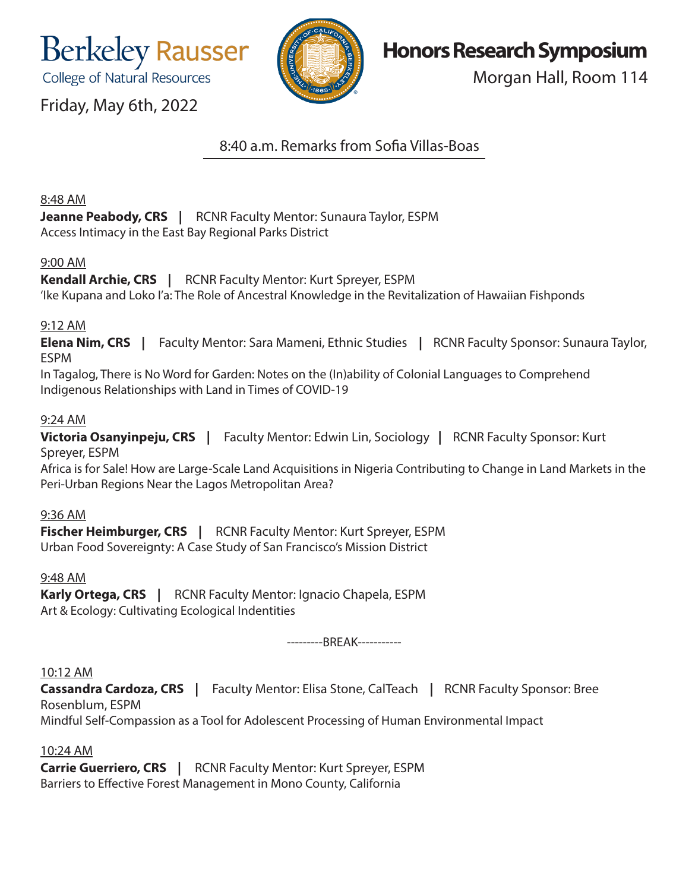**Berkeley Rausser** College of Natural Resources



**Honors Research Symposium**

Morgan Hall, Room 114

Friday, May 6th, 2022

## 8:40 a.m. Remarks from Sofia Villas-Boas

## 8:48 AM

**Jeanne Peabody, CRS** | RCNR Faculty Mentor: Sunaura Taylor, ESPM Access Intimacy in the East Bay Regional Parks District

## 9:00 AM

**Kendall Archie, CRS |** RCNR Faculty Mentor: Kurt Spreyer, ESPM 'Ike Kupana and Loko I'a: The Role of Ancestral Knowledge in the Revitalization of Hawaiian Fishponds

## 9:12 AM

**Elena Nim, CRS |** Faculty Mentor: Sara Mameni, Ethnic Studies **|** RCNR Faculty Sponsor: Sunaura Taylor, ESPM

In Tagalog, There is No Word for Garden: Notes on the (In)ability of Colonial Languages to Comprehend Indigenous Relationships with Land in Times of COVID-19

## 9:24 AM

**Victoria Osanyinpeju, CRS |** Faculty Mentor: Edwin Lin, Sociology **|** RCNR Faculty Sponsor: Kurt Spreyer, ESPM

Africa is for Sale! How are Large-Scale Land Acquisitions in Nigeria Contributing to Change in Land Markets in the Peri-Urban Regions Near the Lagos Metropolitan Area?

## 9:36 AM

**Fischer Heimburger, CRS |** RCNR Faculty Mentor: Kurt Spreyer, ESPM Urban Food Sovereignty: A Case Study of San Francisco's Mission District

## 9:48 AM

**Karly Ortega, CRS |** RCNR Faculty Mentor: Ignacio Chapela, ESPM Art & Ecology: Cultivating Ecological Indentities

---------BREAK-----------

## 10:12 AM

**Cassandra Cardoza, CRS |** Faculty Mentor: Elisa Stone, CalTeach **|** RCNR Faculty Sponsor: Bree Rosenblum, ESPM Mindful Self-Compassion as a Tool for Adolescent Processing of Human Environmental Impact

## 10:24 AM

**Carrie Guerriero, CRS** | RCNR Faculty Mentor: Kurt Spreyer, ESPM Barriers to Effective Forest Management in Mono County, California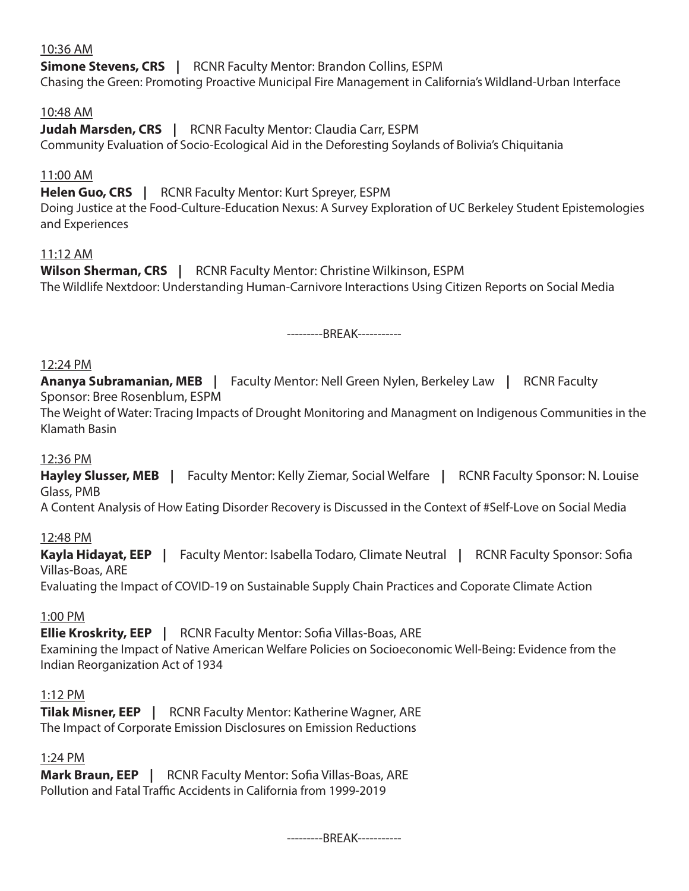#### 10:36 AM

**Simone Stevens, CRS** | RCNR Faculty Mentor: Brandon Collins, ESPM Chasing the Green: Promoting Proactive Municipal Fire Management in California's Wildland-Urban Interface

10:48 AM

**Judah Marsden, CRS |** RCNR Faculty Mentor: Claudia Carr, ESPM Community Evaluation of Socio-Ecological Aid in the Deforesting Soylands of Bolivia's Chiquitania

## 11:00 AM

**Helen Guo, CRS |** RCNR Faculty Mentor: Kurt Spreyer, ESPM

Doing Justice at the Food-Culture-Education Nexus: A Survey Exploration of UC Berkeley Student Epistemologies and Experiences

## 11:12 AM

**Wilson Sherman, CRS** | RCNR Faculty Mentor: Christine Wilkinson, ESPM The Wildlife Nextdoor: Understanding Human-Carnivore Interactions Using Citizen Reports on Social Media

---------BREAK-----------

## 12:24 PM

**Ananya Subramanian, MEB |** Faculty Mentor: Nell Green Nylen, Berkeley Law **|** RCNR Faculty Sponsor: Bree Rosenblum, ESPM

The Weight of Water: Tracing Impacts of Drought Monitoring and Managment on Indigenous Communities in the Klamath Basin

## 12:36 PM

**Hayley Slusser, MEB |** Faculty Mentor: Kelly Ziemar, Social Welfare **|** RCNR Faculty Sponsor: N. Louise Glass, PMB

A Content Analysis of How Eating Disorder Recovery is Discussed in the Context of #Self-Love on Social Media

## 12:48 PM

**Kayla Hidayat, EEP |** Faculty Mentor: Isabella Todaro, Climate Neutral **|** RCNR Faculty Sponsor: Sofia Villas-Boas, ARE

Evaluating the Impact of COVID-19 on Sustainable Supply Chain Practices and Coporate Climate Action

## 1:00 PM

**Ellie Kroskrity, EEP | RCNR Faculty Mentor: Sofia Villas-Boas, ARE** Examining the Impact of Native American Welfare Policies on Socioeconomic Well-Being: Evidence from the Indian Reorganization Act of 1934

## 1:12 PM

**Tilak Misner, EEP |** RCNR Faculty Mentor: Katherine Wagner, ARE The Impact of Corporate Emission Disclosures on Emission Reductions

## 1:24 PM

**Mark Braun, EEP |** RCNR Faculty Mentor: Sofia Villas-Boas, ARE Pollution and Fatal Traffic Accidents in California from 1999-2019